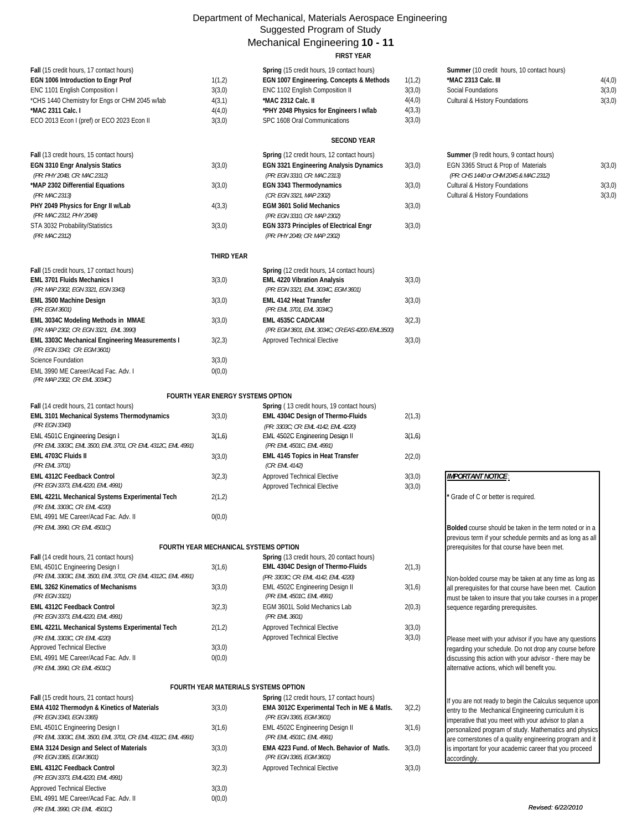## Department of Mechanical, Materials Aerospace Engineering Suggested Program of Study Mechanical Engineering **10 - 11**

|                                                                                                                                                                                                                                       |                                                | Mechanical Engineering 10 - 11<br><b>FIRST YEAR</b>                                                                                                                                                                        |                                                |                                                                                                                                                           |                            |
|---------------------------------------------------------------------------------------------------------------------------------------------------------------------------------------------------------------------------------------|------------------------------------------------|----------------------------------------------------------------------------------------------------------------------------------------------------------------------------------------------------------------------------|------------------------------------------------|-----------------------------------------------------------------------------------------------------------------------------------------------------------|----------------------------|
| Fall (15 credit hours, 17 contact hours)<br>EGN 1006 Introduction to Engr Prof<br>ENC 1101 English Composition I<br>*CHS 1440 Chemistry for Engs or CHM 2045 w/lab<br>*MAC 2311 Calc. I<br>ECO 2013 Econ I (pref) or ECO 2023 Econ II | 1(1,2)<br>3(3,0)<br>4(3,1)<br>4(4,0)<br>3(3,0) | Spring (15 credit hours, 19 contact hours)<br>EGN 1007 Engineering. Concepts & Methods<br>ENC 1102 English Composition II<br>*MAC 2312 Calc. II<br>*PHY 2048 Physics for Engineers I w/lab<br>SPC 1608 Oral Communications | 1(1,2)<br>3(3,0)<br>4(4,0)<br>4(3,3)<br>3(3,0) | Summer (10 credit hours, 10 contact hours)<br>*MAC 2313 Calc. III<br><b>Social Foundations</b><br>Cultural & History Foundations                          | 4(4,0)<br>3(3,0)<br>3(3,0) |
|                                                                                                                                                                                                                                       |                                                | <b>SECOND YEAR</b>                                                                                                                                                                                                         |                                                |                                                                                                                                                           |                            |
| Fall (13 credit hours, 15 contact hours)<br><b>EGN 3310 Engr Analysis Statics</b><br>(PR: PHY 2048, CR: MAC 2312)<br>*MAP 2302 Differential Equations                                                                                 | 3(3,0)<br>3(3,0)                               | Spring (12 credit hours, 12 contact hours)<br><b>EGN 3321 Engineering Analysis Dynamics</b><br>(PR: EGN 3310, CR: MAC 2313)<br>EGN 3343 Thermodynamics                                                                     | 3(3,0)<br>3(3,0)                               | Summer (9 redit hours, 9 contact hours)<br>EGN 3365 Struct & Prop of Materials<br>(PR: CHS 1440 or CHM 2045 & MAC 2312)<br>Cultural & History Foundations | 3(3,0)<br>3(3,0)           |
| (PR: MAC 2313)<br>PHY 2049 Physics for Engr II w/Lab<br>(PR: MAC 2312, PHY 2048)                                                                                                                                                      | 4(3,3)                                         | (CR: EGN 3321, MAP 2302)<br><b>EGM 3601 Solid Mechanics</b><br>(PR: EGN 3310, CR: MAP 2302)                                                                                                                                | 3(3,0)                                         | Cultural & History Foundations                                                                                                                            | 3(3,0)                     |
| STA 3032 Probability/Statistics<br>(PR: MAC 2312)                                                                                                                                                                                     | 3(3,0)                                         | EGN 3373 Principles of Electrical Engr<br>(PR: PHY 2049; CR: MAP 2302)                                                                                                                                                     | 3(3,0)                                         |                                                                                                                                                           |                            |
|                                                                                                                                                                                                                                       | THIRD YEAR                                     |                                                                                                                                                                                                                            |                                                |                                                                                                                                                           |                            |
| Fall (15 credit hours, 17 contact hours)<br><b>EML 3701 Fluids Mechanics I</b><br>(PR: MAP 2302, EGN 3321, EGN 3343)                                                                                                                  | 3(3,0)                                         | Spring (12 credit hours, 14 contact hours)<br><b>EML 4220 Vibration Analysis</b><br>(PR: EGN 3321, EML 3034C, EGM 3601)                                                                                                    | 3(3,0)                                         |                                                                                                                                                           |                            |
| EML 3500 Machine Design<br>(PR: EGM 3601)                                                                                                                                                                                             | 3(3,0)                                         | <b>EML 4142 Heat Transfer</b><br>(PR: EML 3701, EML 3034C)                                                                                                                                                                 | 3(3,0)                                         |                                                                                                                                                           |                            |
| EML 3034C Modeling Methods in MMAE<br>(PR: MAP 2302, CR: EGN 3321, EML 3990)                                                                                                                                                          | 3(3,0)                                         | EML 4535C CAD/CAM<br>(PR: EGM 3601, EML 3034C; CR:EAS 4200 /EML3500)                                                                                                                                                       | 3(2,3)                                         |                                                                                                                                                           |                            |
| EML 3303C Mechanical Engineering Measurements I<br>(PR: EGN 3343; CR: EGM 3601)                                                                                                                                                       | 3(2,3)                                         | Approved Technical Elective                                                                                                                                                                                                | 3(3,0)                                         |                                                                                                                                                           |                            |
| Science Foundation<br>EML 3990 ME Career/Acad Fac. Adv. I<br>(PR: MAP 2302, CR: EML 3034C)                                                                                                                                            | 3(3,0)<br>0(0,0)                               |                                                                                                                                                                                                                            |                                                |                                                                                                                                                           |                            |
|                                                                                                                                                                                                                                       | <b>FOURTH YEAR ENERGY SYSTEMS OPTION</b>       |                                                                                                                                                                                                                            |                                                |                                                                                                                                                           |                            |
| Fall (14 credit hours, 21 contact hours)                                                                                                                                                                                              |                                                | Spring (13 credit hours, 19 contact hours)                                                                                                                                                                                 |                                                |                                                                                                                                                           |                            |
| EML 3101 Mechanical Systems Thermodynamics<br>(PR: EGN 3343)                                                                                                                                                                          | 3(3,0)                                         | EML 4304C Design of Thermo-Fluids<br>(PR: 3303C; CR: EML 4142, EML 4220)                                                                                                                                                   | 2(1,3)                                         |                                                                                                                                                           |                            |
| EML 4501C Engineering Design I<br>(PR: EML 3303C, EML 3500, EML 3701, CR: EML 4312C, EML 4991)                                                                                                                                        | 3(1,6)                                         | EML 4502C Engineering Design II<br>(PR: EML 4501C, EML 4991)                                                                                                                                                               | 3(1,6)                                         |                                                                                                                                                           |                            |

**EML 4703C Fluids II 12(2,0) EML 4745 Topics in Heat Transfer** 2(2,0) *(PR: EML 4145 Topics in Heat Transfer* 2(2,0)

 *(PR: EGN 3373, EML4220, EML 4991)* Approved Technical Elective 3(3,0)

EML 4501C Engineering Design I 3(1,6) **EML 4304C Design of Thermo-Fluids** 2(1,3)

**FOURTH YEAR MECHANICAL SYSTEMS OPTION**

**EML 3262 Kinematics of Mechanisms** 3(3,0) EML 4502C Engineering Design II 3(1,6)

**EML 4312C Feedback Control** 3(2,3) EGM 3601L Solid Mechanics Lab 2(0,3)

**EML 4221L Mechanical Systems Experimental Tech** 2(1,2) Approved Technical Elective 3(3,0)  *(PR: EML 3303C, CR: EML 4220)* Approved Technical Elective 3(3,0)

**Spring** (12 credit hours, 17 contact hours)

 *(PR: EGN 3343, EGN 3365) (PR: EGN 3365, EGM 3601)*

 *(PR: EML 3303C, EML 3500, EML 3701, CR: EML 4312C, EML 4991) (PR: EML 4501C, EML 4991)*

 *(PR: EGN 3365, EGM 3601) (PR: EGN 3365, EGM 3601)*

**EMA 3012C Experimental Tech in ME & Matls.** 3(2,2)

EML 4502C Engineering Design II 3(1,6)

**EMA 4223 Fund. of Mech. Behavior of Matls.** 3(3,0)

Approved Technical Elective 3(3,0)

**Fall** (14 credit hours, 21 contact hours) **Spring** (13 credit hours, 20 contact hours)

 *(PR: EML 3303C, EML 3500, EML 3701, CR: EML 4312C, EML 4991) (PR: 3303C; CR: EML 4142, EML 4220)*

 *(PR: EGN 3321) (PR: EML 4501C, EML 4991)*

 *(PR: EGN 3373, EML4220, EML 4991) (PR: EML 3601)*

**EML 4312C Feedback Control 3(2,3)** Approved Technical Elective 3(3,0) **IMPORTANT NOTICE**: **EML 4221L Mechanical Systems Experimental Tech** 2(1,2) **\***  2(1,2) **\* Experimental Tech** 2(1,2) **\* Crade of C or better is required.** If you are not ready to begin the Calculus sequence upon entry to the Mechanical Engineering curriculum it is imperative that you meet with your advisor to plan a personalized program of study. Mathematics and physics are cornerstones of a quality engineering program and it is important for your academic career that you proceed accordingly. Please meet with your advisor if you have any questions regarding your schedule. Do not drop any course before discussing this action with your advisor - there may be alternative actions, which will benefit you. Non-bolded course may be taken at any time as long as all prerequisites for that course have been met. Caution must be taken to insure that you take courses in a proper sequence regarding prerequisites. **Bolded** course should be taken in the term noted or in a previous term if your schedule permits and as long as all prerequisites for that course have been met.

|                                                                                                                    | FOURTH YEAR MATERIALS SYSTEMS OPTION |                                                             |
|--------------------------------------------------------------------------------------------------------------------|--------------------------------------|-------------------------------------------------------------|
| Fall (15 credit hours, 21 contact hours)<br>EMA 4102 Thermodyn & Kinetics of Materials<br>(PR: EGN 3343, EGN 3365) | 3(3,0)                               | Spring (12 cred<br><b>EMA 3012C Exp</b><br>(PR: EGN 3365, L |
| EML 4501C Engineering Design I<br>(PR: EML 3303C, EML 3500, EML 3701, CR: EML 4312C, EML 4991)                     | 3(1,6)                               | EML 4502C End<br>(PR: EML 4501C)                            |
| <b>EMA 3124 Design and Select of Materials</b><br>(PR: EGN 3365, EGM 3601)                                         | 3(3,0)                               | EMA 4223 Fund<br>(PR: EGN 3365, L                           |
| <b>EML 4312C Feedback Control</b><br>(PR: EGN 3373, EML4220, EML 4991)                                             | 3(2,3)                               | Approved Techr                                              |
| Approved Technical Elective<br>EML 4991 ME Career/Acad Fac. Adv. II<br>(PR: EML 3990, CR: EML 4501C)               | 3(3,0)<br>0(0,0)                     |                                                             |

Approved Technical Elective 3(3,0) EML 4991 ME Career/Acad Fac. Adv. II 0(0,0)

EML 4991 ME Career/Acad Fac. Adv. II 0(0,0)

 *(PR: EML 3701) (CR: EML 4142)*

 *(PR: EML 3303C, CR: EML 4220)*

 *(PR: EML 3990, CR: EML 4501C)*

 *(PR: EML 3990, CR: EML 4501C)*